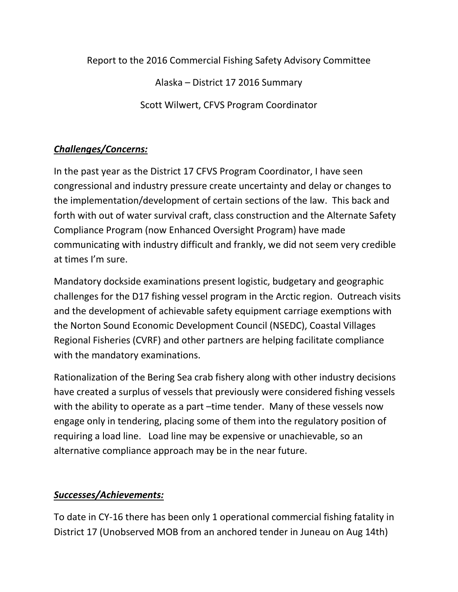Report to the 2016 Commercial Fishing Safety Advisory Committee

Alaska – District 17 2016 Summary

Scott Wilwert, CFVS Program Coordinator

## *Challenges/Concerns:*

In the past year as the District 17 CFVS Program Coordinator, I have seen congressional and industry pressure create uncertainty and delay or changes to the implementation/development of certain sections of the law. This back and forth with out of water survival craft, class construction and the Alternate Safety Compliance Program (now Enhanced Oversight Program) have made communicating with industry difficult and frankly, we did not seem very credible at times I'm sure.

Mandatory dockside examinations present logistic, budgetary and geographic challenges for the D17 fishing vessel program in the Arctic region. Outreach visits and the development of achievable safety equipment carriage exemptions with the Norton Sound Economic Development Council (NSEDC), Coastal Villages Regional Fisheries (CVRF) and other partners are helping facilitate compliance with the mandatory examinations.

Rationalization of the Bering Sea crab fishery along with other industry decisions have created a surplus of vessels that previously were considered fishing vessels with the ability to operate as a part –time tender. Many of these vessels now engage only in tendering, placing some of them into the regulatory position of requiring a load line. Load line may be expensive or unachievable, so an alternative compliance approach may be in the near future.

## *Successes/Achievements:*

To date in CY-16 there has been only 1 operational commercial fishing fatality in District 17 (Unobserved MOB from an anchored tender in Juneau on Aug 14th)